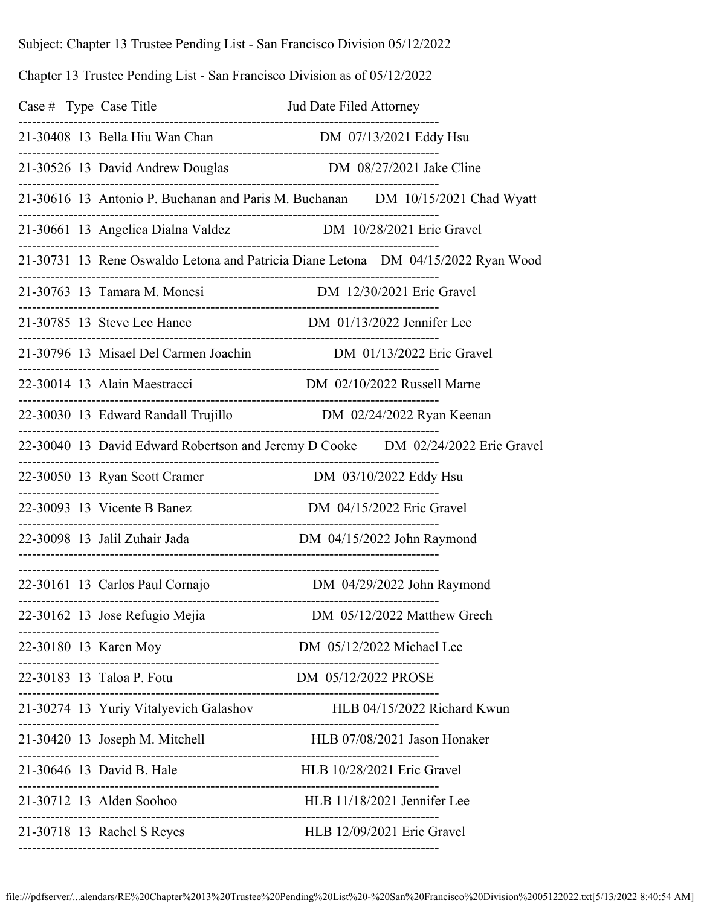Subject: Chapter 13 Trustee Pending List - San Francisco Division 05/12/2022

Chapter 13 Trustee Pending List - San Francisco Division as of 05/12/2022

|  | Case # Type Case Title                                                                             |                             |  |
|--|----------------------------------------------------------------------------------------------------|-----------------------------|--|
|  |                                                                                                    |                             |  |
|  | 21-30526 13 David Andrew Douglas DM 08/27/2021 Jake Cline                                          |                             |  |
|  | 21-30616 13 Antonio P. Buchanan and Paris M. Buchanan DM 10/15/2021 Chad Wyatt                     |                             |  |
|  |                                                                                                    |                             |  |
|  | 21-30731 13 Rene Oswaldo Letona and Patricia Diane Letona  DM 04/15/2022 Ryan Wood                 |                             |  |
|  | 21-30763 13 Tamara M. Monesi DM 12/30/2021 Eric Gravel                                             |                             |  |
|  |                                                                                                    |                             |  |
|  |                                                                                                    |                             |  |
|  | 22-30014 13 Alain Maestracci DM 02/10/2022 Russell Marne                                           |                             |  |
|  | 22-30030 13 Edward Randall Trujillo M 02/24/2022 Ryan Keenan<br>---------------------------------- |                             |  |
|  | 22-30040 13 David Edward Robertson and Jeremy D Cooke DM 02/24/2022 Eric Gravel                    |                             |  |
|  | -------------------------<br>22-30050 13 Ryan Scott Cramer                                         | DM 03/10/2022 Eddy Hsu      |  |
|  | 22-30093 13 Vicente B Banez                                                                        | DM 04/15/2022 Eric Gravel   |  |
|  | 22-30098 13 Jalil Zuhair Jada Manuel DM 04/15/2022 John Raymond                                    |                             |  |
|  | 22-30161 13 Carlos Paul Cornajo M DM 04/29/2022 John Raymond                                       |                             |  |
|  | 22-30162 13 Jose Refugio Mejia                                                                     | DM 05/12/2022 Matthew Grech |  |
|  | 22-30180 13 Karen Moy                                                                              |                             |  |
|  | 22-30183 13 Taloa P. Fotu DM 05/12/2022 PROSE                                                      |                             |  |
|  | 21-30274 13 Yuriy Vitalyevich Galashov HLB 04/15/2022 Richard Kwun                                 |                             |  |
|  | 21-30420 13 Joseph M. Mitchell HLB 07/08/2021 Jason Honaker                                        |                             |  |
|  | 21-30646 13 David B. Hale                                                                          |                             |  |
|  | 21-30712 13 Alden Soohoo                                                                           | HLB 11/18/2021 Jennifer Lee |  |
|  | 21-30718 13 Rachel S Reyes                                                                         | HLB 12/09/2021 Eric Gravel  |  |

--------------------------------------------------------------------------------------------